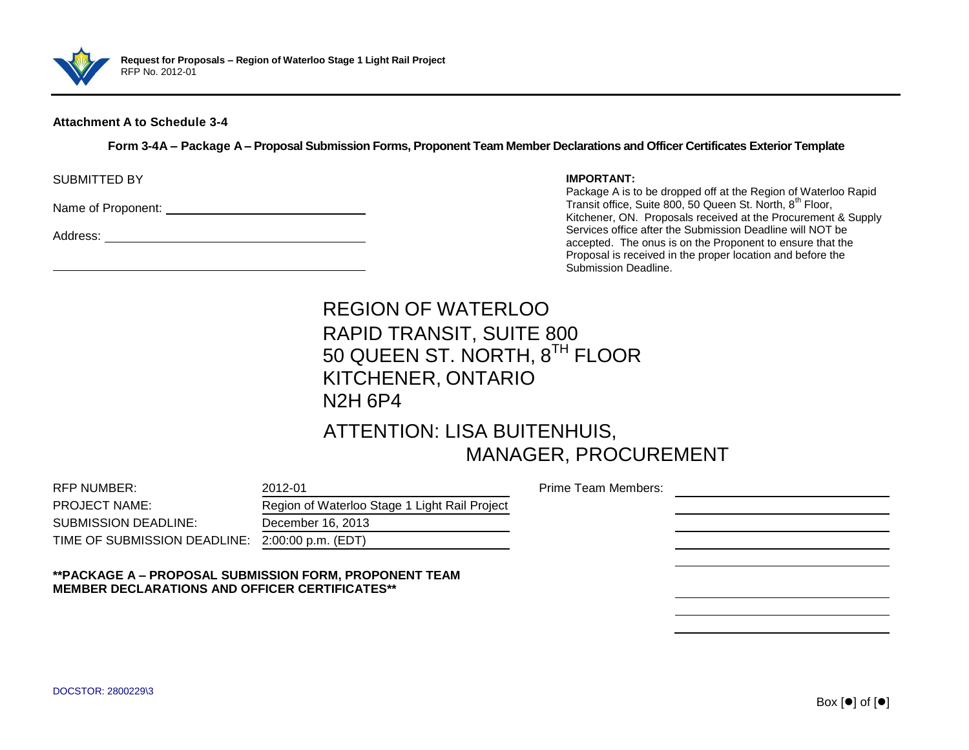

### **Attachment A to Schedule 3-4**

**Form 3-4A – Package A – Proposal Submission Forms, Proponent Team Member Declarations and Officer Certificates Exterior Template**

SUBMITTED BY

Name of Proponent:  $\blacksquare$ 

Address:

### **IMPORTANT:**

Package A is to be dropped off at the Region of Waterloo Rapid Transit office, Suite 800, 50 Queen St. North, 8<sup>th</sup> Floor, Kitchener, ON. Proposals received at the Procurement & Supply Services office after the Submission Deadline will NOT be accepted. The onus is on the Proponent to ensure that the Proposal is received in the proper location and before the Submission Deadline.

# REGION OF WATERLOO RAPID TRANSIT, SUITE 800 50 QUEEN ST. NORTH, 8<sup>TH</sup> FLOOR KITCHENER, ONTARIO N2H 6P4

# ATTENTION: LISA BUITENHUIS, MANAGER, PROCUREMENT

| RFP NUMBER:                                                                                                     | 2012-01                                       | Prime Team Members: |  |  |  |  |
|-----------------------------------------------------------------------------------------------------------------|-----------------------------------------------|---------------------|--|--|--|--|
| <b>PROJECT NAME:</b>                                                                                            | Region of Waterloo Stage 1 Light Rail Project |                     |  |  |  |  |
| <b>SUBMISSION DEADLINE:</b>                                                                                     | December 16, 2013                             |                     |  |  |  |  |
| TIME OF SUBMISSION DEADLINE: 2:00:00 p.m. (EDT)                                                                 |                                               |                     |  |  |  |  |
|                                                                                                                 |                                               |                     |  |  |  |  |
| **PACKAGE A - PROPOSAL SUBMISSION FORM, PROPONENT TEAM<br><b>MEMBER DECLARATIONS AND OFFICER CERTIFICATES**</b> |                                               |                     |  |  |  |  |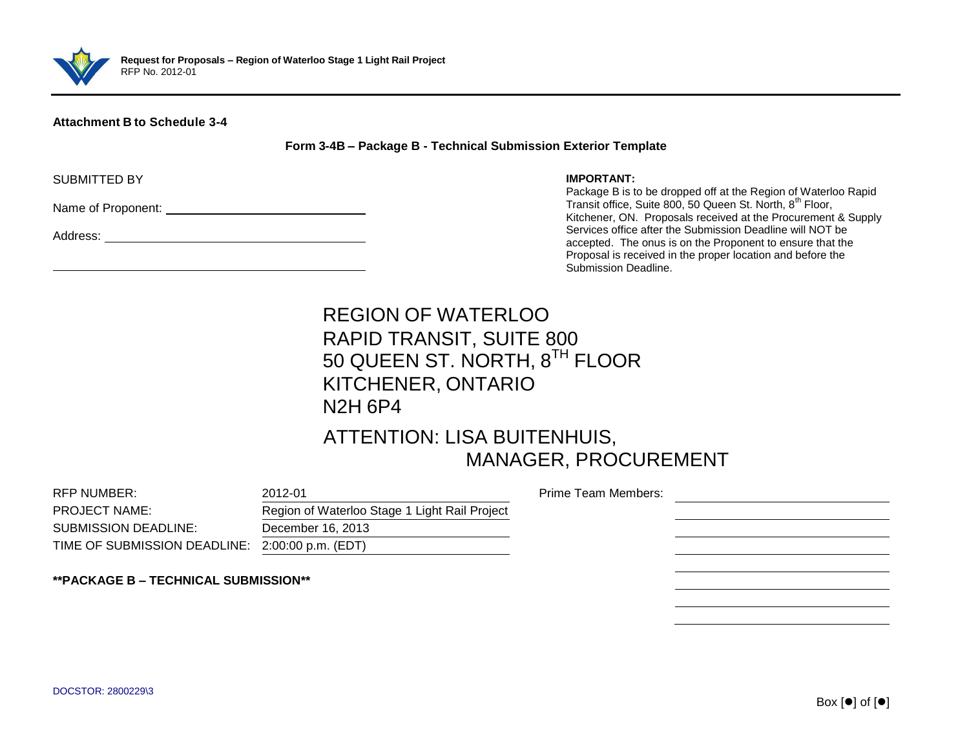

### **Attachment B to Schedule 3-4**

**Form 3-4B – Package B - Technical Submission Exterior Template**

SUBMITTED BY

Name of Proponent:

Address:

#### **IMPORTANT:**

Package B is to be dropped off at the Region of Waterloo Rapid Transit office, Suite 800, 50 Queen St. North, 8<sup>th</sup> Floor, Kitchener, ON. Proposals received at the Procurement & Supply Services office after the Submission Deadline will NOT be accepted. The onus is on the Proponent to ensure that the Proposal is received in the proper location and before the Submission Deadline.

# REGION OF WATERLOO RAPID TRANSIT, SUITE 800 50 QUEEN ST. NORTH,  $8^{\sf TH}$  FLOOR KITCHENER, ONTARIO N2H 6P4

### ATTENTION: LISA BUITENHUIS, MANAGER, PROCUREMENT

| RFP NUMBER:                                     | 2012-01                                       | Prime Team Members: |  |
|-------------------------------------------------|-----------------------------------------------|---------------------|--|
| <b>PROJECT NAME:</b>                            | Region of Waterloo Stage 1 Light Rail Project |                     |  |
| <b>SUBMISSION DEADLINE:</b>                     | December 16, 2013                             |                     |  |
| TIME OF SUBMISSION DEADLINE: 2:00:00 p.m. (EDT) |                                               |                     |  |
|                                                 |                                               |                     |  |

**\*\*PACKAGE B – TECHNICAL SUBMISSION\*\***